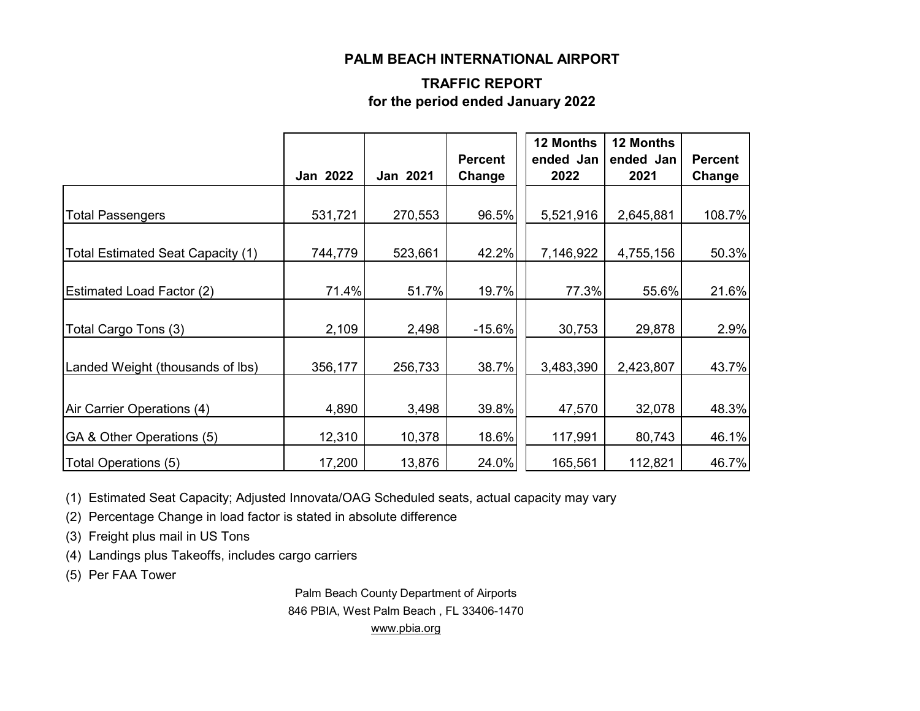#### **PALM BEACH INTERNATIONAL AIRPORT**

### **TRAFFIC REPORT for the period ended January 2022**

|                                          | <b>Jan 2022</b> | Jan 2021 | <b>Percent</b><br>Change | 12 Months<br>ended Jan<br>2022 | 12 Months<br>ended Jan<br>2021 | <b>Percent</b><br>Change |
|------------------------------------------|-----------------|----------|--------------------------|--------------------------------|--------------------------------|--------------------------|
|                                          |                 |          |                          |                                |                                |                          |
| <b>Total Passengers</b>                  | 531,721         | 270,553  | 96.5%                    | 5,521,916                      | 2,645,881                      | 108.7%                   |
| <b>Total Estimated Seat Capacity (1)</b> | 744,779         | 523,661  | 42.2%                    | 7,146,922                      | 4,755,156                      | 50.3%                    |
| <b>Estimated Load Factor (2)</b>         | 71.4%           | 51.7%    | 19.7%                    | 77.3%                          | 55.6%                          | 21.6%                    |
| Total Cargo Tons (3)                     | 2,109           | 2,498    | $-15.6%$                 | 30,753                         | 29,878                         | 2.9%                     |
| Landed Weight (thousands of lbs)         | 356,177         | 256,733  | 38.7%                    | 3,483,390                      | 2,423,807                      | 43.7%                    |
| Air Carrier Operations (4)               | 4,890           | 3,498    | 39.8%                    | 47,570                         | 32,078                         | 48.3%                    |
| GA & Other Operations (5)                | 12,310          | 10,378   | 18.6%                    | 117,991                        | 80,743                         | 46.1%                    |
| Total Operations (5)                     | 17,200          | 13,876   | 24.0%                    | 165,561                        | 112,821                        | 46.7%                    |

(1) Estimated Seat Capacity; Adjusted Innovata/OAG Scheduled seats, actual capacity may vary

(2) Percentage Change in load factor is stated in absolute difference

(3) Freight plus mail in US Tons

(4) Landings plus Takeoffs, includes cargo carriers

(5) Per FAA Tower

Palm Beach County Department of Airports 846 PBIA, West Palm Beach , FL 33406-1470 [www.pbia.org](http://www.pbia.org/)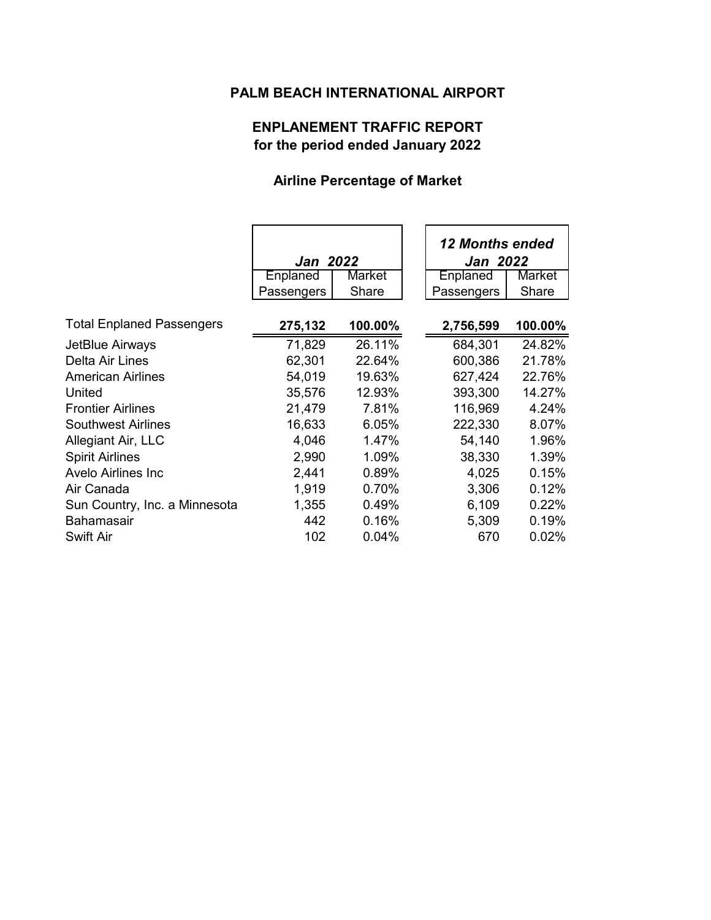## **PALM BEACH INTERNATIONAL AIRPORT**

## **ENPLANEMENT TRAFFIC REPORT for the period ended January 2022**

### **Airline Percentage of Market**

|                                  | <b>Jan 2022</b> |         | <b>12 Months ended</b><br><b>Jan 2022</b> |               |
|----------------------------------|-----------------|---------|-------------------------------------------|---------------|
|                                  | Enplaned        | Market  | Enplaned                                  | <b>Market</b> |
|                                  | Passengers      | Share   | Passengers                                | Share         |
|                                  |                 |         |                                           |               |
| <b>Total Enplaned Passengers</b> | 275,132         | 100.00% | 2,756,599                                 | 100.00%       |
| JetBlue Airways                  | 71,829          | 26.11%  | 684,301                                   | 24.82%        |
| Delta Air Lines                  | 62,301          | 22.64%  | 600,386                                   | 21.78%        |
| <b>American Airlines</b>         | 54,019          | 19.63%  | 627,424                                   | 22.76%        |
| United                           | 35,576          | 12.93%  | 393,300                                   | 14.27%        |
| <b>Frontier Airlines</b>         | 21,479          | 7.81%   | 116,969                                   | 4.24%         |
| <b>Southwest Airlines</b>        | 16,633          | 6.05%   | 222,330                                   | 8.07%         |
| Allegiant Air, LLC               | 4,046           | 1.47%   | 54,140                                    | 1.96%         |
| <b>Spirit Airlines</b>           | 2,990           | 1.09%   | 38,330                                    | 1.39%         |
| <b>Avelo Airlines Inc.</b>       | 2,441           | 0.89%   | 4,025                                     | 0.15%         |
| Air Canada                       | 1,919           | 0.70%   | 3,306                                     | 0.12%         |
| Sun Country, Inc. a Minnesota    | 1,355           | 0.49%   | 6,109                                     | 0.22%         |
| <b>Bahamasair</b>                | 442             | 0.16%   | 5,309                                     | 0.19%         |
| <b>Swift Air</b>                 | 102             | 0.04%   | 670                                       | 0.02%         |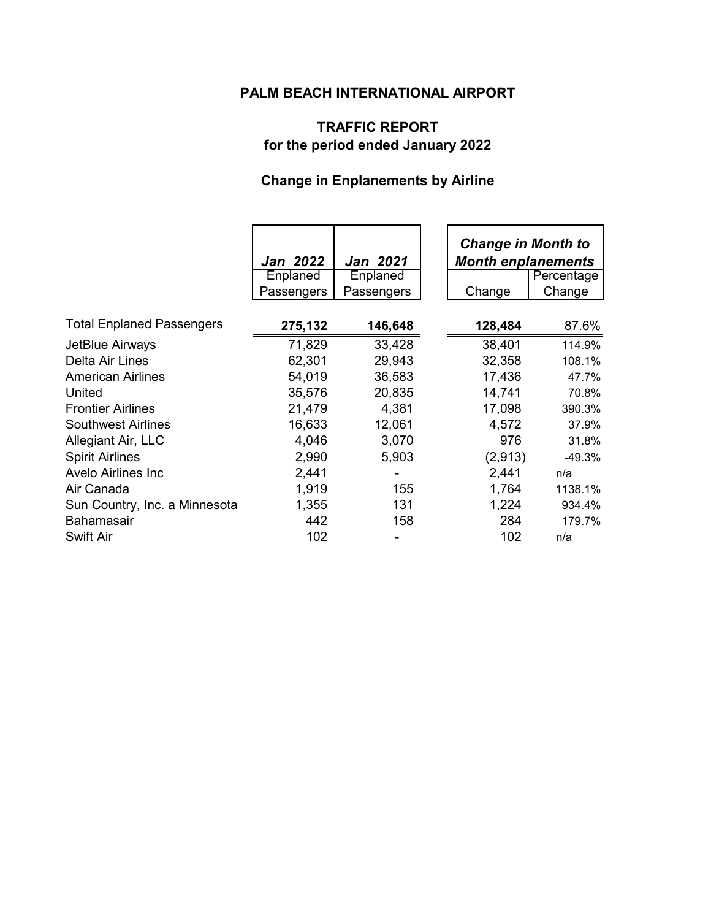## **PALM BEACH INTERNATIONAL AIRPORT**

## **TRAFFIC REPORT for the period ended January 2022**

# **Change in Enplanements by Airline**

|                                  | <b>Jan 2022</b><br>Enplaned | <b>Jan 2021</b><br><b>Enplaned</b> | <b>Change in Month to</b><br><b>Month enplanements</b> |                      |
|----------------------------------|-----------------------------|------------------------------------|--------------------------------------------------------|----------------------|
|                                  | Passengers                  | Passengers                         | Change                                                 | Percentage<br>Change |
|                                  |                             |                                    |                                                        |                      |
| <b>Total Enplaned Passengers</b> | 275,132                     | 146,648                            | 128,484                                                | 87.6%                |
| JetBlue Airways                  | 71,829                      | 33,428                             | 38,401                                                 | 114.9%               |
| Delta Air Lines                  | 62,301                      | 29,943                             | 32,358                                                 | 108.1%               |
| <b>American Airlines</b>         | 54,019                      | 36,583                             | 17,436                                                 | 47.7%                |
| United                           | 35,576                      | 20,835                             | 14,741                                                 | 70.8%                |
| <b>Frontier Airlines</b>         | 21,479                      | 4,381                              | 17,098                                                 | 390.3%               |
| <b>Southwest Airlines</b>        | 16,633                      | 12,061                             | 4,572                                                  | 37.9%                |
| Allegiant Air, LLC               | 4,046                       | 3,070                              | 976                                                    | 31.8%                |
| <b>Spirit Airlines</b>           | 2,990                       | 5,903                              | (2,913)                                                | -49.3%               |
| <b>Avelo Airlines Inc.</b>       | 2,441                       |                                    | 2,441                                                  | n/a                  |
| Air Canada                       | 1,919                       | 155                                | 1,764                                                  | 1138.1%              |
| Sun Country, Inc. a Minnesota    | 1,355                       | 131                                | 1,224                                                  | 934.4%               |
| <b>Bahamasair</b>                | 442                         | 158                                | 284                                                    | 179.7%               |
| Swift Air                        | 102                         |                                    | 102                                                    | n/a                  |